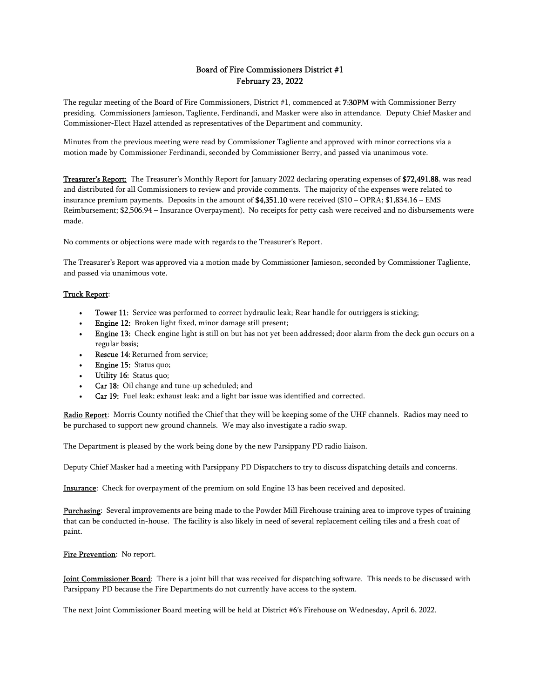# Board of Fire Commissioners District #1 February 23, 2022

The regular meeting of the Board of Fire Commissioners, District #1, commenced at 7:30PM with Commissioner Berry presiding. Commissioners Jamieson, Tagliente, Ferdinandi, and Masker were also in attendance. Deputy Chief Masker and Commissioner-Elect Hazel attended as representatives of the Department and community.

Minutes from the previous meeting were read by Commissioner Tagliente and approved with minor corrections via a motion made by Commissioner Ferdinandi, seconded by Commissioner Berry, and passed via unanimous vote.

Treasurer's Report: The Treasurer's Monthly Report for January 2022 declaring operating expenses of \$72,491.88, was read and distributed for all Commissioners to review and provide comments. The majority of the expenses were related to insurance premium payments. Deposits in the amount of  $$4,351.10$  were received ( $$10$  – OPRA;  $$1,834.16$  – EMS Reimbursement; \$2,506.94 – Insurance Overpayment). No receipts for petty cash were received and no disbursements were made.

No comments or objections were made with regards to the Treasurer's Report.

The Treasurer's Report was approved via a motion made by Commissioner Jamieson, seconded by Commissioner Tagliente, and passed via unanimous vote.

## Truck Report:

- Tower 11: Service was performed to correct hydraulic leak; Rear handle for outriggers is sticking;
- Engine 12: Broken light fixed, minor damage still present;
- Engine 13: Check engine light is still on but has not yet been addressed; door alarm from the deck gun occurs on a regular basis;
- Rescue 14: Returned from service;
- **Engine 15:** Status quo;
- Utility 16: Status quo;
- Car 18: Oil change and tune-up scheduled; and
- Car 19: Fuel leak; exhaust leak; and a light bar issue was identified and corrected.

Radio Report: Morris County notified the Chief that they will be keeping some of the UHF channels. Radios may need to be purchased to support new ground channels. We may also investigate a radio swap.

The Department is pleased by the work being done by the new Parsippany PD radio liaison.

Deputy Chief Masker had a meeting with Parsippany PD Dispatchers to try to discuss dispatching details and concerns.

Insurance: Check for overpayment of the premium on sold Engine 13 has been received and deposited.

Purchasing: Several improvements are being made to the Powder Mill Firehouse training area to improve types of training that can be conducted in-house. The facility is also likely in need of several replacement ceiling tiles and a fresh coat of paint.

#### Fire Prevention: No report.

Joint Commissioner Board: There is a joint bill that was received for dispatching software. This needs to be discussed with Parsippany PD because the Fire Departments do not currently have access to the system.

The next Joint Commissioner Board meeting will be held at District #6's Firehouse on Wednesday, April 6, 2022.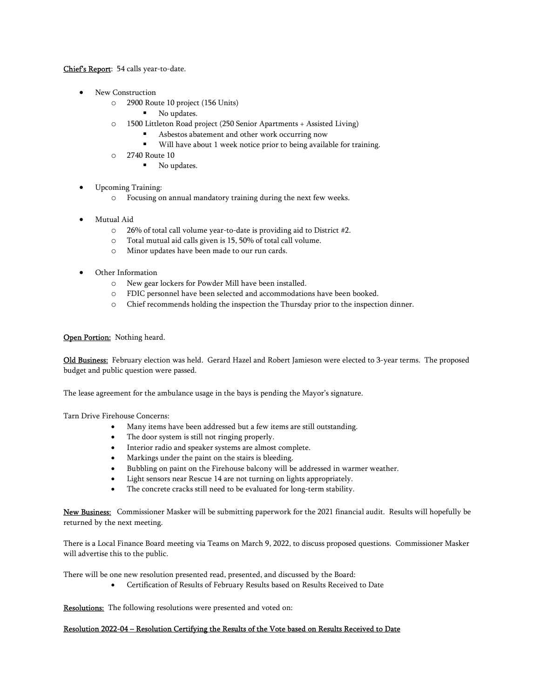Chief's Report: 54 calls year-to-date.

- New Construction
	- o 2900 Route 10 project (156 Units)
		- No updates.
	- o 1500 Littleton Road project (250 Senior Apartments + Assisted Living)
		- Asbestos abatement and other work occurring now
		- Will have about 1 week notice prior to being available for training.
	- o 2740 Route 10
		- No updates.
- Upcoming Training:
	- o Focusing on annual mandatory training during the next few weeks.
- Mutual Aid
	- o 26% of total call volume year-to-date is providing aid to District #2.
	- o Total mutual aid calls given is 15, 50% of total call volume.
	- o Minor updates have been made to our run cards.
- Other Information
	- o New gear lockers for Powder Mill have been installed.
	- o FDIC personnel have been selected and accommodations have been booked.
	- o Chief recommends holding the inspection the Thursday prior to the inspection dinner.

# Open Portion: Nothing heard.

Old Business: February election was held. Gerard Hazel and Robert Jamieson were elected to 3-year terms. The proposed budget and public question were passed.

The lease agreement for the ambulance usage in the bays is pending the Mayor's signature.

Tarn Drive Firehouse Concerns:

- Many items have been addressed but a few items are still outstanding.
- The door system is still not ringing properly.
- Interior radio and speaker systems are almost complete.
- Markings under the paint on the stairs is bleeding.
- Bubbling on paint on the Firehouse balcony will be addressed in warmer weather.
- Light sensors near Rescue 14 are not turning on lights appropriately.
- The concrete cracks still need to be evaluated for long-term stability.

New Business: Commissioner Masker will be submitting paperwork for the 2021 financial audit. Results will hopefully be returned by the next meeting.

There is a Local Finance Board meeting via Teams on March 9, 2022, to discuss proposed questions. Commissioner Masker will advertise this to the public.

There will be one new resolution presented read, presented, and discussed by the Board:

Certification of Results of February Results based on Results Received to Date

Resolutions: The following resolutions were presented and voted on:

## Resolution 2022-04 – Resolution Certifying the Results of the Vote based on Results Received to Date